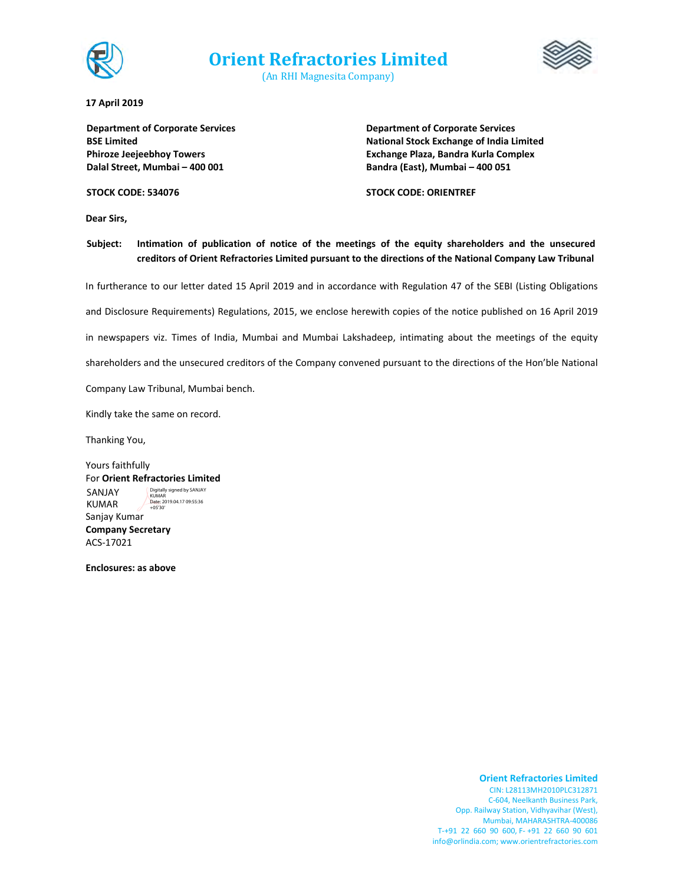

**Orient Refractories Limited**

(An RHI Magnesita Company)



**17 April 2019**

**Department of Corporate Services BSE Limited Phiroze Jeejeebhoy Towers Dalal Street, Mumbai – 400 001**

**Department of Corporate Services National Stock Exchange of India Limited Exchange Plaza, Bandra Kurla Complex Bandra (East), Mumbai – 400 051** 

**STOCK CODE: 534076**

**STOCK CODE: ORIENTREF**

**Dear Sirs,**

**Subject: Intimation of publication of notice of the meetings of the equity shareholders and the unsecured creditors of Orient Refractories Limited pursuant to the directions of the National Company Law Tribunal**

In furtherance to our letter dated 15 April 2019 and in accordance with Regulation 47 of the SEBI (Listing Obligations

and Disclosure Requirements) Regulations, 2015, we enclose herewith copies of the notice published on 16 April 2019

in newspapers viz. Times of India, Mumbai and Mumbai Lakshadeep, intimating about the meetings of the equity

shareholders and the unsecured creditors of the Company convened pursuant to the directions of the Hon'ble National

Company Law Tribunal, Mumbai bench.

Kindly take the same on record.

Thanking You,

Yours faithfully For **Orient Refractories Limited** Sanjay Kumar **Company Secretary** ACS‐17021 SANJAY KUMAR Digitally signed by SANJAY KUMAR Date: 2019.04.17 09:55:36 +05'30'

**Enclosures: as above**

#### **Orient Refractories Limited**

CIN: L28113MH2010PLC312871 C‐604, Neelkanth Business Park, Opp. Railway Station, Vidhyavihar (West), Mumbai, MAHARASHTRA‐400086 T‐+91 22 660 90 600, F‐ +91 22 660 90 601 info@orlindia.com; www.orientrefractories.com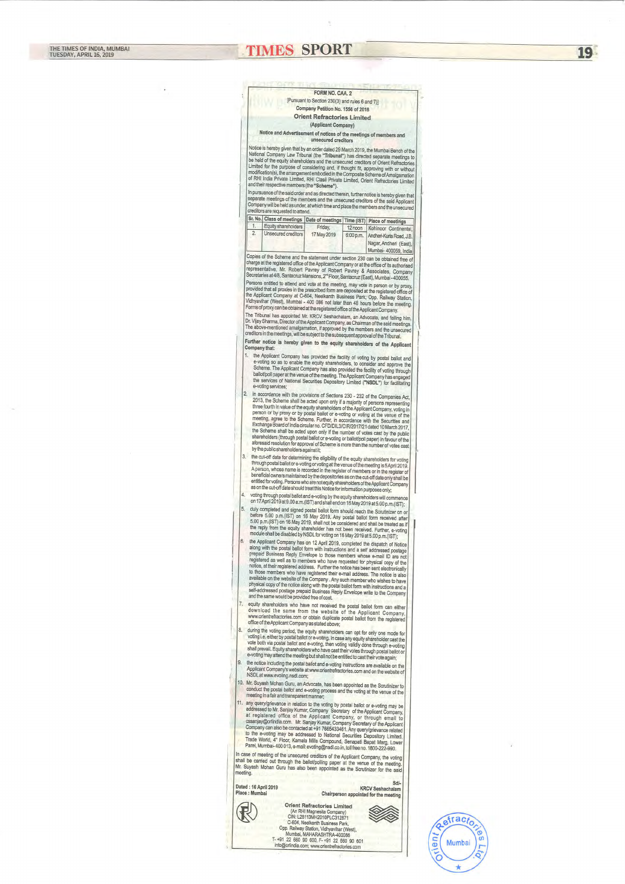# **TIMES SPORT**

FORM NO. CAA. 2 [Pursuant to Section 230(3) and rules 6 and 7)] Company Petition No. 1556 of 2018 **Orient Refractories Limited** (Applicant Company) Notice and Advertisement of notices of the meetings of members and unsecured creditors Notice is hereby given that by an order dated 29 March 2019, the Mumbai Bench of the National Company Law Tribunal (the "Tribunal") has directed separate meetings to be held of the equity shareholders and the unsecured creditors of Orient Refractories<br>Limited for the purpose of considering and, if thought fit, approving with or without modification(s), the arrangement embodied in the Composite Scheme of Amalgamation of RHI India Private Limited, RHI Clasil Private Limited, Orient Refractories Limited and their respective members (the "Scheme"). In pursuance of the said order and as directed therein, further notice is hereby given that separate meetings of the members and the unsecured creditors of the said Applicant Company will be held as under, at which time and place the members and the unsecured creditors are requested to attend. Sr. No. Class of meetings | Date of meetings | Time (IST) | Place of meetings 1. Equity shareholders Friday, 12 noon Kohinoor Continental.  $2.$ Unsecured creditors 17 May 2019 6:00 p.m. Andheri-Kurla Road, J.B. Nagar, Andheri (East), Mumbai- 400059, India Copies of the Scheme and the statement under section 230 can be obtained free of Copies of the registered office of the Applicant Company or at the office of its authorised<br>representative, Mr. Robert Pavrey of Robert Pavrey & Associates, Company Secretaries at 4/8, Santacruz Mansions, 2<sup>nd</sup> Floor, Santacruz (East), Mumbai - 400055. Persons entitled to attend and vote at the meeting, may vote in person or by proxy, provided that all proxies in the prescribed form are deposited at the registered office of the Applicant Company at C-604, Neelkanth Business Park, Opp. Railway Station, Vidhyavihar (West), Mumbai - 400 086 not later than 48 hours before the meeting. Forms of proxy can be obtained at the registered office of the Applicant Company. The Tribunal has appointed Mr. KRCV Seshachalam, an Advocate, and failing him, The Thomas Ties appointed the Applicant Company, as Chairman of the said meetings.<br>The above-mentioned amalgamation, if approved by the members and the unsecured creditors in the meetings, will be subject to the subsequent approval of the Tribunal. Further notice is hereby given to the equity shareholders of the Applican Company that: 1. the Applicant Company has provided the facility of voting by postal ballot and e-voting so as to enable the equity shareholders, to consider and approve the Scheme. The Applicant Company has also provided the facility of voting through ballot/poll paper at the venue of the meeting. The Applicant Company has engaged the services of National Securities Depository Limited ("NSDL") for facilitating e-voting services: in accordance with the provisions of Sections 230 - 232 of the Companies Act 2. 2013, the Scheme shall be acted upon only if a majority of persons representing three fourth in value of the equity shareholders of the Applicant Company, voting in person or by proxy or by postal ballot or e-voting or voting to the venue of the person or by proxy or by postal ballot or e-voting or voting at the venue of the meeting, agree to the Scheme. Further, in accordance with th the Scheme shall be acted upon only if the number of votes cast by the public shareholders (through postal ballot or e-voting or ballot/poll paper) in favour of the aforesaid resolution for approval of Scheme is more than the number of votes cast by the public shareholders against it; the cut-off date for determining the eligibility of the equity shareholders for voting<br>through postal ballot or e-voting or voting at the venue of the meeting is 5 April 2019. 3. A person, whose name is recorded in the register of members or in the register of beneficial owners maintained by the depositories as on the cut-off date only shall be entitled for voting. Persons who are not equity shareholders of the Applicant Company as on the cut-off date should treat this Notice for information purposes only; voting through postal ballot and e-voting by the equity shareholders will commence on 17 April 2019 at 9.00 a.m.(IST) and shall end on 16 May 2019 at 5.00 p.m.(IST); 5. duly completed and signed postal ballot form should reach the Scrutinizer on or before 5.00 p.m.(IST) on 16 May 2019. Any postal ballot form received after 5.00 p.m. (IST) on 16 May 2019, shall not be considered and shall be treated as if the reply from the equity shareholder has not been received. Further, e-voting module shall be disabled by NSDL for voting on 16 May 2019 at 5.00 p.m.(IST); the Applicant Company has on 12 April 2019, completed the dispatch of Notice along with the postal ballot form with instructions and a self addressed postage

prepaid Business Reply Envelope to those members whose e-mail ID are not registered as well as to members who have requested for physical copy of the notice, at their registered address. Further the notice has been sent electronically to those members who have registered their e-mail address. The notice is also available on the website of the Company . Any such member who wishes to have physical copy of the notice along with the postal ballot form with instructions and a self-addressed postage prepaid Business Reply Envelope write to the Company and the same would be provided free of cost.

equity shareholders who have not received the postal ballot form can either download the same from the website of the Applicant Company, www.orientrefractories.com or obtain duplicate postal ballot from the registered office of the Applicant Company as stated above;

- during the voting period, the equity shareholders can opt for only one mode for 8. voting i.e. either by postal ballot or e-voting, the axes any equity shareholder cast the vote both via postal ballot and e-voting, then voting validly done through e-voting shall prevail. Equity shareholders who have cast their votes through postal ballot or e-voting may attend the meeting but shall not be entitled to cast their vote again;
	- the notice including the postal ballot and e-voting instructions are available on the

9.

| Applicant Company's website at www.orientrefractories.com and on the website of<br>NSDL at www.evoling.nsdl.com;                                                                                                                                                                                                                                                                                                                                                                                                                                                                                                                                      |                                                                                                                                                                                                                                                                                                           |                                                                            |
|-------------------------------------------------------------------------------------------------------------------------------------------------------------------------------------------------------------------------------------------------------------------------------------------------------------------------------------------------------------------------------------------------------------------------------------------------------------------------------------------------------------------------------------------------------------------------------------------------------------------------------------------------------|-----------------------------------------------------------------------------------------------------------------------------------------------------------------------------------------------------------------------------------------------------------------------------------------------------------|----------------------------------------------------------------------------|
| 10. Mr. Suyash Mohan Guru, an Advocate, has been appointed as the Scrutinizer to<br>conduct the postal ballot and e-voting process and the voting at the venue of the<br>meeting in a fair and transparent manner;                                                                                                                                                                                                                                                                                                                                                                                                                                    |                                                                                                                                                                                                                                                                                                           |                                                                            |
| 11. any query/grievance in relation to the voting by postal ballot or e-voting may be<br>addressed to Mr. Sanjay Kumar, Company Secretary of the Applicant Company,<br>at registered office of the Applicant Company, or through email to<br>cssanjay@orlindia.com. Mr. Sanjay Kumar, Company Secretary of the Applicant<br>Company can also be contacted at +91 7665433461. Any query/grievance related<br>to the e-voting may be addressed to National Securities Depository Limited,<br>Trade World, 4" Floor, Kamala Mills Compound, Senapati Bapat Marg, Lower<br>Parel, Mumbai-400 013, e-mail: evoting@nsdl.co.in, toll free no. 1800-222-990. |                                                                                                                                                                                                                                                                                                           |                                                                            |
| In case of meeting of the unsecured creditors of the Applicant Company, the voting<br>shall be carried out through the ballot/polling paper at the venue of the meeting.<br>Mr. Suyash Mohan Guru has also been appointed as the Scrutinizer for the said.<br>meeting.                                                                                                                                                                                                                                                                                                                                                                                |                                                                                                                                                                                                                                                                                                           |                                                                            |
| Dated: 16 April 2019<br>Place : Mumbai                                                                                                                                                                                                                                                                                                                                                                                                                                                                                                                                                                                                                |                                                                                                                                                                                                                                                                                                           | $Sd/-$<br><b>KRCV Seshachalam</b><br>Chairperson appointed for the meeting |
|                                                                                                                                                                                                                                                                                                                                                                                                                                                                                                                                                                                                                                                       | <b>Orient Refractories Limited</b><br>(An RHI Magnesita Company)<br>CIN: L28113MH2010PLC312871<br>C-604, Neelkanth Business Park,<br>Opp. Railway Station, Vidhyavihar (West),<br>Mumbai, MAHARASHTRA-400086<br>T-+91 22 660 90 600, F-+91 22 660 90 601<br>info@orlindia.com; www.orientrefractories.com |                                                                            |
|                                                                                                                                                                                                                                                                                                                                                                                                                                                                                                                                                                                                                                                       |                                                                                                                                                                                                                                                                                                           |                                                                            |



19